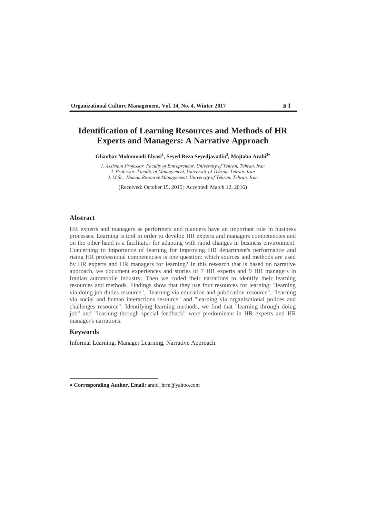# **Identification of Learning Resources and Methods of HR Experts and Managers: A Narrative Approach**

**Ghanbar Mohmmadi Elyasi<sup>1</sup> , Seyed Reza Seyedjavadin<sup>2</sup> , Mojtaba Arabi<sup>3</sup>**

*<i>I* Assistant Professor, Faculty of Entrepreneur, University of Tehran, Tehran, Iran 2. Professor, Faculty of Management, University of Tehran, Tehran, Iran 3. M.Sc., Human Resource Management, University of Tehran, Tehran, Iran

(Received: October 15, 2015; Accepted: March 12, 2016)

## **Abstract**

HR experts and managers as performers and planners have an important role in business processes. Learning is tool in order to develop HR experts and managers competencies and on the other hand is a facilitator for adapting with rapid changes in business environment. Concerning to importance of learning for improving HR department's performance and rising HR professional competencies is one question: which sources and methods are used by HR experts and HR managers for learning? In this research that is based on narrative approach, we document experiences and stories of 7 HR experts and 9 HR managers in Iranian automobile industry. Then we coded their narrations to identify their learning resources and methods. Findings show that they use four resources for learning: "learning via doing job duties resource", "learning via education and publication resource", "learning via social and human interactions resource" and "learning via organizational polices and challenges resource". Identifying learning methods, we find that "learning through doing job" and "learning through special feedback" were predominant in HR experts and HR manager's narrations.

## **Keywords**

Informal Learning, Manager Learning, Narrative Approach.

 **Corresponding Author, Email:** arabi\_hrm@yahoo.com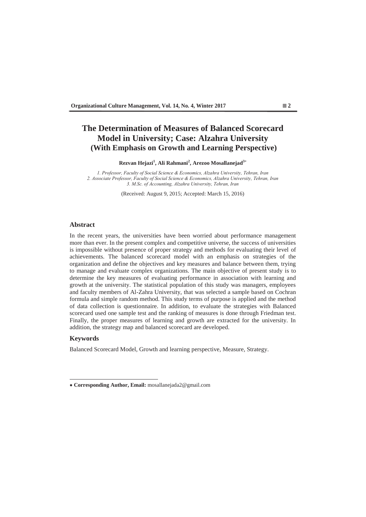# **The Determination of Measures of Balanced Scorecard Model in University; Case: Alzahra University (With Emphasis on Growth and Learning Perspective)**

**Rezvan Hejazi<sup>1</sup> , Ali Rahmani<sup>2</sup> , Arezoo Mosallanejad3**

*3 1. Professor, Faculty of Social Science & Economics, Alzahra University, Tehran, Iran* 2. Associate Professor, Faculty of Social Science & Economics, Alzahra University, Tehran, Iran 3. M.Sc. of Accounting, Alzahra University, Tehran, Iran

(Received: August 9, 2015; Accepted: March 15, 2016)

## **Abstract**

In the recent years, the universities have been worried about performance management more than ever. In the present complex and competitive universe, the success of universities is impossible without presence of proper strategy and methods for evaluating their level of achievements. The balanced scorecard model with an emphasis on strategies of the organization and define the objectives and key measures and balance between them, trying to manage and evaluate complex organizations. The main objective of present study is to determine the key measures of evaluating performance in association with learning and growth at the university. The statistical population of this study was managers, employees and faculty members of Al-Zahra University, that was selected a sample based on Cochran formula and simple random method. This study terms of purpose is applied and the method of data collection is questionnaire. In addition, to evaluate the strategies with Balanced scorecard used one sample test and the ranking of measures is done through Friedman test. Finally, the proper measures of learning and growth are extracted for the university. In addition, the strategy map and balanced scorecard are developed.

## **Keywords**

Balanced Scorecard Model, Growth and learning perspective, Measure, Strategy.

 **Corresponding Author, Email:** mosallanejada2@gmail.com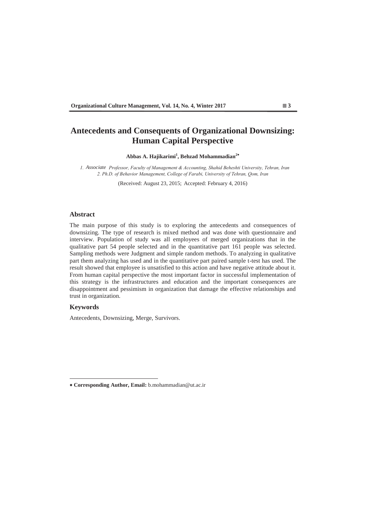# **Antecedents and Consequents of Organizational Downsizing: Human Capital Perspective**

**Abbas A. Hajikarimi<sup>1</sup> , Behzad Mohammadian<sup>2</sup>**

*1. Associate Professor, Faculty of Management & Accounting, Shahid Beheshti University, Tehran, Iran* 2. Ph.D. of Behavior Management, College of Farabi, University of Tehran, Qom, Iran

(Received: August 23, 2015; Accepted: February 4, 2016)

#### **Abstract**

The main purpose of this study is to exploring the antecedents and consequences of downsizing. The type of research is mixed method and was done with questionnaire and interview. Population of study was all employees of merged organizations that in the qualitative part 54 people selected and in the quantitative part 161 people was selected. Sampling methods were Judgment and simple random methods. To analyzing in qualitative part them analyzing has used and in the quantitative part paired sample t-test has used. The result showed that employee is unsatisfied to this action and have negative attitude about it. From human capital perspective the most important factor in successful implementation of this strategy is the infrastructures and education and the important consequences are disappointment and pessimism in organization that damage the effective relationships and trust in organization.

# **Keywords**

Antecedents, Downsizing, Merge, Survivors.

 **Corresponding Author, Email:** b.mohammadian@ut.ac.ir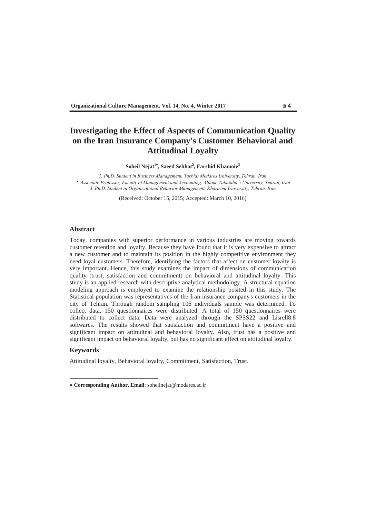# **Investigating the Effect of Aspects of Communication Quality on the Iran Insurance Company's Customer Behavioral and Attitudinal Loyalty**

**Soheil Nejat1 , Saeed Sehhat<sup>2</sup> , Farshid Khamoie<sup>3</sup>**

*3K 1. Ph.D. Student in Business Management, Tarbiat Modares University, Tehran, Iran* 2. Associate Professor, Faculty of Management and Accounting, Allame Tabataba'i University, Tehran, Iran 3. Ph.D. Student in Organizational Behavior Management, Kharazmi University, Tehran, Iran

(Received: October 15, 2015; Accepted: March 10, 2016)

### **Abstract**

Today, companies with superior performance in various industries are moving towards customer retention and loyalty. Because they have found that it is very expensive to attract a new customer and to maintain its position in the highly competitive environment they need loyal customers. Therefore, identifying the factors that affect on customer loyalty is very important. Hence, this study examines the impact of dimensions of communication quality (trust, satisfaction and commitment) on behavioral and attitudinal loyalty. This study is an applied research with descriptive analytical methodology. A structural equation modeling approach is employed to examine the relationship posited in this study. The Statistical population was representatives of the Iran insurance company's customers in the city of Tehran. Through random sampling 106 individuals sample was determined. To collect data, 150 questionnaires were distributed. A total of 150 questionnaires were distributed to collect data. Data were analyzed through the SPSS22 and Lisrell8.8 softwares. The results showed that satisfaction and commitment have a positive and significant impact on attitudinal and behavioral loyalty. Also, trust has a positive and significant impact on behavioral loyalty, but has no significant effect on attitudinal loyalty.

## **Keywords**

Attitudinal loyalty, Behavioral loyalty, Commitment, Satisfaction, Trust.

 **Corresponding Author, Email**: soheilnejat@modares.ac.ir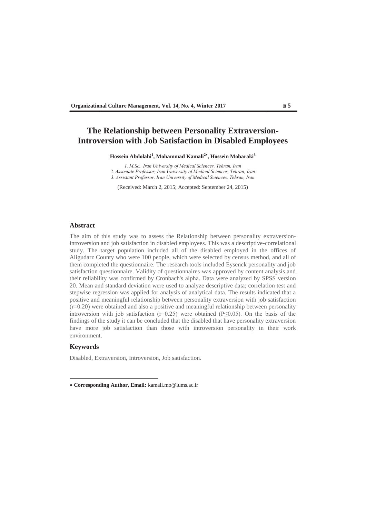# **The Relationship between Personality Extraversion-Introversion with Job Satisfaction in Disabled Employees**

**Hossein Abdolahi<sup>1</sup> , Mohammad Kamali<sup>2</sup> , Hossein Mobaraki<sup>3</sup>**

*<i>O MSc*, *Iran University of Medical Sciences Tehran Iran* 2. Associate Professor, Iran University of Medical Sciences, Tehran, Iran 3. Assistant Professor, Iran University of Medical Sciences, Tehran, Iran

(Received: March 2, 2015; Accepted: September 24, 2015)

# **Abstract**

The aim of this study was to assess the Relationship between personality extraversionintroversion and job satisfaction in disabled employees. This was a descriptive-correlational study. The target population included all of the disabled employed in the offices of Aligudarz County who were 100 people, which were selected by census method, and all of them completed the questionnaire. The research tools included Eysenck personality and job satisfaction questionnaire. Validity of questionnaires was approved by content analysis and their reliability was confirmed by Cronbach's alpha. Data were analyzed by SPSS version 20. Mean and standard deviation were used to analyze descriptive data; correlation test and stepwise regression was applied for analysis of analytical data. The results indicated that a positive and meaningful relationship between personality extraversion with job satisfaction  $(r=0.20)$  were obtained and also a positive and meaningful relationship between personality introversion with job satisfaction ( $r=0.25$ ) were obtained ( $P\leq 0.05$ ). On the basis of the findings of the study it can be concluded that the disabled that have personality extraversion have more job satisfaction than those with introversion personality in their work environment.

## **Keywords**

Disabled, Extraversion, Introversion, Job satisfaction.

 **Corresponding Author, Email:** kamali.mo@iums.ac.ir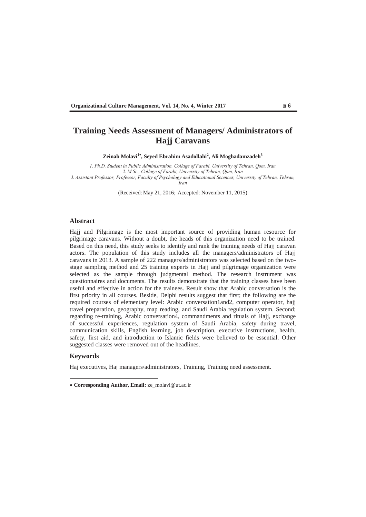# **Training Needs Assessment of Managers/ Administrators of Hajj Caravans**

**Zeinab Molavi<sup>1</sup> , Seyed Ebrahim Asadollahi<sup>2</sup> , Ali Moghadamzadeh3**

*3Kthaph. D. Student in Public Administration, Collage of Farabi, University of Tehran, Qom, Iran* 2. M.Sc., Collage of Farabi, University of Tehran, Qom, Iran 3. Assistant Professor, Professor, Faculty of Psychology and Educational Sciences, University of Tehran, Tehran, *lran* 

(Received: May 21, 2016; Accepted: November 11, 2015)

### **Abstract**

Hajj and Pilgrimage is the most important source of providing human resource for pilgrimage caravans. Without a doubt, the heads of this organization need to be trained. Based on this need, this study seeks to identify and rank the training needs of Hajj caravan actors. The population of this study includes all the managers/administrators of Hajj caravans in 2013. A sample of 222 managers/administrators was selected based on the twostage sampling method and 25 training experts in Hajj and pilgrimage organization were selected as the sample through judgmental method. The research instrument was questionnaires and documents. The results demonstrate that the training classes have been useful and effective in action for the trainees. Result show that Arabic conversation is the first priority in all courses. Beside, Delphi results suggest that first; the following are the required courses of elementary level: Arabic conversation1and2, computer operator, hajj travel preparation, geography, map reading, and Saudi Arabia regulation system. Second; regarding re-training, Arabic conversation4, commandments and rituals of Hajj, exchange of successful experiences, regulation system of Saudi Arabia, safety during travel, communication skills, English learning, job description, executive instructions, health, safety, first aid, and introduction to Islamic fields were believed to be essential. Other suggested classes were removed out of the headlines.

### **Keywords**

Haj executives, Haj managers/administrators, Training, Training need assessment.

 **Corresponding Author, Email:** ze\_molavi@ut.ac.ir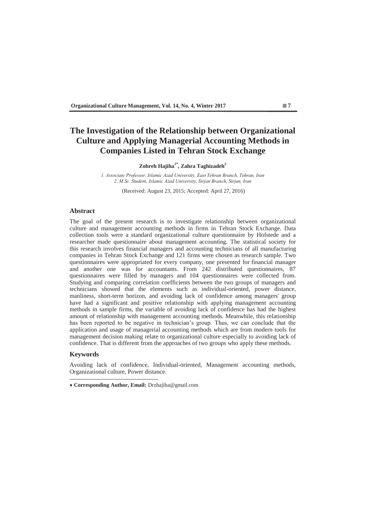# **The Investigation of the Relationship between Organizational Culture and Applying Managerial Accounting Methods in Companies Listed in Tehran Stock Exchange**

# **Zohreh Hajiha1\*, Zahra Taghizadeh2**

1. Associate Professor, Islamic Azad University, East Tehran Branch, Tehran, Iran 2. M.Sc. Student, Islamic Azad University, Sirjan Branch, Sirjan, Iran

(Received: August 23, 2015; Accepted: April 27, 2016)

### **Abstract**

The goal of the present research is to investigate relationship between organizational culture and management accounting methods in firms in Tehran Stock Exchange. Data collection tools were a standard organizational culture questionnaire by Hofstede and a researcher made questionnaire about management accounting. The statistical society for this research involves financial managers and accounting technicians of all manufacturing companies in Tehran Stock Exchange and 121 firms were chosen as research sample. Two questionnaires were appropriated for every company, one presented for financial manager and another one was for accountants. From 242 distributed questionnaires, 87 questionnaires were filled by managers and 104 questionnaires were collected from. Studying and comparing correlation coefficients between the two groups of managers and technicians showed that the elements such as individual-oriented, power distance, manliness, short-term horizon, and avoiding lack of confidence among managers' group have had a significant and positive relationship with applying management accounting methods in sample firms, the variable of avoiding lack of confidence has had the highest amount of relationship with management accounting methods. Meanwhile, this relationship has been reported to be negative in technician's group. Thus, we can conclude that the application and usage of managerial accounting methods which are from modern tools for management decision making relate to organizational culture especially to avoiding lack of confidence. That is different from the approaches of two groups who apply these methods.

### **Keywords**

Avoiding lack of confidence, Individual-oriented, Management accounting methods, Organizational culture, Power distance.

 **Corresponding Author, Email:** Drzhajiha@gmail.com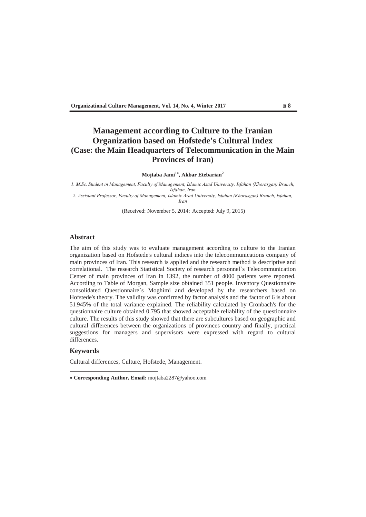# **Management according to Culture to the Iranian Organization based on Hofstede's Cultural Index (Case: the Main Headquarters of Telecommunication in the Main Provinces of Iran)**

### **Mojtaba Jami<sup>1</sup> , Akbar Etebarian<sup>2</sup>**

*06F6 Indent in Management, Faculty of Management, Islamic Azad University, Isfahan (Khorasgan) Branch, <u><i>Isfahan Iran</u>*</u> 2. Assistant Professor, Faculty of Management, Islamic Azad University, Isfahan (Khorasgan) Branch, Isfahan,

*lran* 

(Received: November 5, 2014; Accepted: July 9, 2015)

## **Abstract**

The aim of this study was to evaluate management according to culture to the Iranian organization based on Hofstede's cultural indices into the telecommunications company of main provinces of Iran. This research is applied and the research method is descriptive and correlational. The research Statistical Society of research personnel`s Telecommunication Center of main provinces of Iran in 1392, the number of 4000 patients were reported. According to Table of Morgan, Sample size obtained 351 people. Inventory Questionnaire consolidated Questionnaire`s Moghimi and developed by the researchers based on Hofstede's theory. The validity was confirmed by factor analysis and the factor of 6 is about 51.945% of the total variance explained. The reliability calculated by Cronbach's for the questionnaire culture obtained 0.795 that showed acceptable reliability of the questionnaire culture. The results of this study showed that there are subcultures based on geographic and cultural differences between the organizations of provinces country and finally, practical suggestions for managers and supervisors were expressed with regard to cultural differences.

### **Keywords**

Cultural differences, Culture, Hofstede, Management.

 **Corresponding Author, Email:** mojtaba2287@yahoo.com

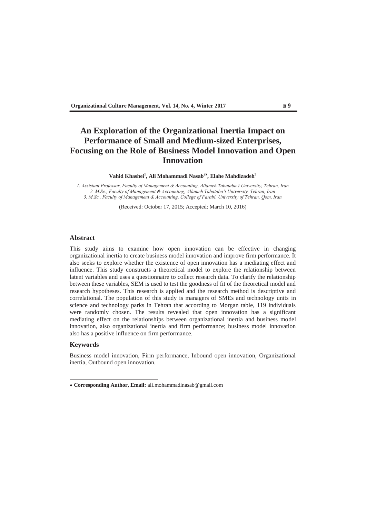# **An Exploration of the Organizational Inertia Impact on Performance of Small and Medium-sized Enterprises, Focusing on the Role of Business Model Innovation and Open Innovation**

Vahid Khashei<sup>1</sup>, Ali Mohammadi Nasab<sup>2\*</sup>, Elahe Mahdizadeh<sup>3</sup>

*\$VVLVWDQW3URIHVVRU )DFXOW\RI0DQDJHPHQW& Accounting, Allameh Tabataba'i University, Tehran, Iran 2. M.Sc., Faculty of Management & Accounting, Allameh Tabataba'i University, Tehran, Iran*  3. M.Sc., Faculty of Management & Accounting, College of Farabi, University of Tehran, Qom, Iran

(Received: October 17, 2015; Accepted: March 10, 2016)

## **Abstract**

This study aims to examine how open innovation can be effective in changing organizational inertia to create business model innovation and improve firm performance. It also seeks to explore whether the existence of open innovation has a mediating effect and influence. This study constructs a theoretical model to explore the relationship between latent variables and uses a questionnaire to collect research data. To clarify the relationship between these variables, SEM is used to test the goodness of fit of the theoretical model and research hypotheses. This research is applied and the research method is descriptive and correlational. The population of this study is managers of SMEs and technology units in science and technology parks in Tehran that according to Morgan table, 119 individuals were randomly chosen. The results revealed that open innovation has a significant mediating effect on the relationships between organizational inertia and business model innovation, also organizational inertia and firm performance; business model innovation also has a positive influence on firm performance.

#### **Keywords**

Business model innovation, Firm performance, Inbound open innovation, Organizational inertia, Outbound open innovation.

 **Corresponding Author, Email:** ali.mohammadinasab@gmail.com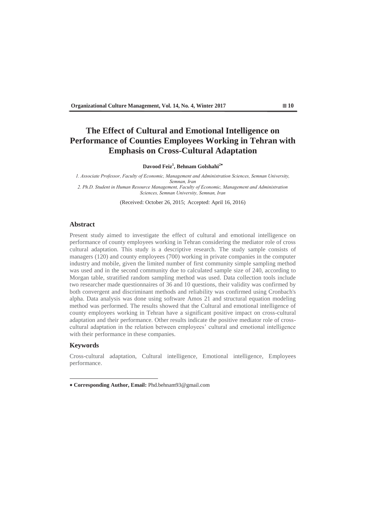# **The Effect of Cultural and Emotional Intelligence on Performance of Counties Employees Working in Tehran with Emphasis on Cross-Cultural Adaptation**

### **Davood Feiz1 , Behnam Golshahi<sup>2</sup>**

*I. Associate Professor, Faculty of Economic, Management and Administration Sciences, Semnan University, Semnan*, *Iran* 2. Ph.D. Student in Human Resource Management, Faculty of Economic, Management and Administration *Sciences, Semnan University, Semnan, Iran* 

(Received: October 26, 2015; Accepted: April 16, 2016)

## **Abstract**

Present study aimed to investigate the effect of cultural and emotional intelligence on performance of county employees working in Tehran considering the mediator role of cross cultural adaptation. This study is a descriptive research. The study sample consists of managers (120) and county employees (700) working in private companies in the computer industry and mobile, given the limited number of first community simple sampling method was used and in the second community due to calculated sample size of 240, according to Morgan table, stratified random sampling method was used. Data collection tools include two researcher made questionnaires of 36 and 10 questions, their validity was confirmed by both convergent and discriminant methods and reliability was confirmed using Cronbach's alpha. Data analysis was done using software Amos 21 and structural equation modeling method was performed. The results showed that the Cultural and emotional intelligence of county employees working in Tehran have a significant positive impact on cross-cultural adaptation and their performance. Other results indicate the positive mediator role of crosscultural adaptation in the relation between employees' cultural and emotional intelligence with their performance in these companies.

## **Keywords**

Cross-cultural adaptation, Cultural intelligence, Emotional intelligence, Employees performance.

 **Corresponding Author, Email:** Phd.behnam93@gmail.com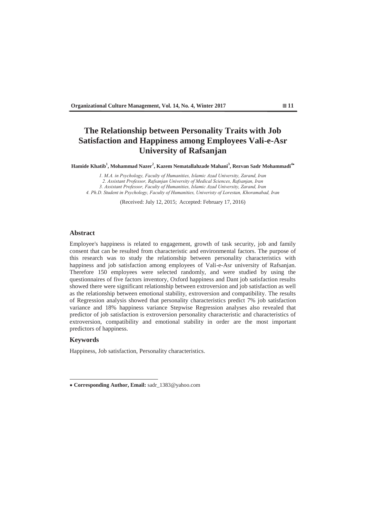# **The Relationship between Personality Traits with Job Satisfaction and Happiness among Employees Vali-e-Asr University of Rafsanjan**

**Hamide Khatib<sup>1</sup> , Mohammad Nazer<sup>2</sup> , Kazem Nematallahzade Mahani<sup>3</sup> , Rezvan Sadr Mohammadi<sup>4</sup>**

*1. M.A. in Psychology, Faculty of Humanities, Islamic Azad University, Zarand, Iran* 2. Assistant Professor, Rafsanjan University of Medical Sciences, Rafsanjan, Iran 3. Assistant Professor, Faculty of Humanities, Islamic Azad University, Zarand, Iran 4. Ph.D. Student in Psychology, Faculty of Humanities, Univeristy of Lorestan, Khoramabad, Iran

(Received: July 12, 2015; Accepted: February 17, 2016)

### **Abstract**

Employee's happiness is related to engagement, growth of task security, job and family consent that can be resulted from characteristic and environmental factors. The purpose of this research was to study the relationship between personality characteristics with happiness and job satisfaction among employees of Vali-e-Asr university of Rafsanjan. Therefore 150 employees were selected randomly, and were studied by using the questionnaires of five factors inventory, Oxford happiness and Dant job satisfaction results showed there were significant relationship between extroversion and job satisfaction as well as the relationship between emotional stability, extroversion and compatibility. The results of Regression analysis showed that personality characteristics predict 7% job satisfaction variance and 18% happiness variance Stepwise Regression analyses also revealed that predictor of job satisfaction is extroversion personality characteristic and characteristics of extroversion, compatibility and emotional stability in order are the most important predictors of happiness.

## **Keywords**

Happiness, Job satisfaction, Personality characteristics.

 **Corresponding Author, Email:** sadr\_1383@yahoo.com